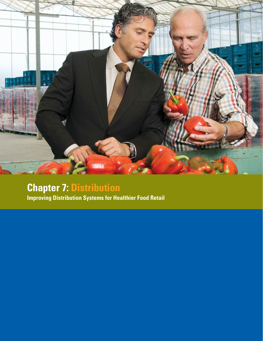

# **Chapter 7: Distribution**

**Improving Distribution Systems for Healthier Food Retail**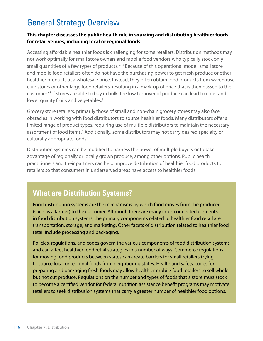## General Strategy Overview

#### **This chapter discusses the public health role in sourcing and distributing healthier foods for retail venues, including local or regional foods.**

Accessing affordable healthier foods is challenging for some retailers. Distribution methods may not work optimally for small store owners and mobile food vendors who typically stock only small quantities of a few types of products.<sup>5,63</sup> Because of this operational model, small store and mobile food retailers often do not have the purchasing power to get fresh produce or other healthier products at a wholesale price. Instead, they often obtain food products from warehouse club stores or other large food retailers, resulting in a mark-up of price that is then passed to the customer.63 If stores are able to buy in bulk, the low turnover of produce can lead to older and lower quality fruits and vegetables.<sup>5</sup>

Grocery store retailers, primarily those of small and non-chain grocery stores may also face obstacles in working with food distributors to source healthier foods. Many distributors offer a limited range of product types, requiring use of multiple distributors to maintain the necessary assortment of food items.<sup>5</sup> Additionally, some distributors may not carry desired specialty or culturally appropriate foods.

Distribution systems can be modified to harness the power of multiple buyers or to take advantage of regionally or locally grown produce, among other options. Public health practitioners and their partners can help improve distribution of healthier food products to retailers so that consumers in underserved areas have access to healthier foods.

### **What are Distribution Systems?**

Food distribution systems are the mechanisms by which food moves from the producer (such as a farmer) to the customer. Although there are many inter-connected elements in food distribution systems, the primary components related to healthier food retail are transportation, storage, and marketing. Other facets of distribution related to healthier food retail include processing and packaging.

Policies, regulations, and codes govern the various components of food distribution systems and can affect healthier food retail strategies in a number of ways. Commerce regulations for moving food products between states can create barriers for small retailers trying to source local or regional foods from neighboring states. Health and safety codes for preparing and packaging fresh foods may allow healthier mobile food retailers to sell whole but not cut produce. Regulations on the number and types of foods that a store must stock to become a certified vendor for federal nutrition assistance benefit programs may motivate retailers to seek distribution systems that carry a greater number of healthier food options.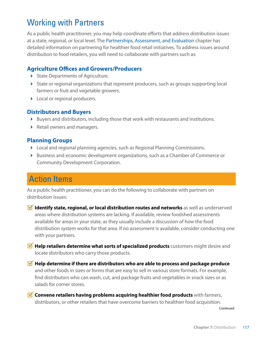## Working with Partners

As a public health practitioner, you may help coordinate efforts that address distribution issues at a state, regional, or local level. The Partnerships, Assessment, and Evaluation chapter has detailed information on partnering for healthier food retail initiatives. To address issues around distribution to food retailers, you will need to collaborate with partners such as:

#### **Agriculture Offices and Growers/Producers**

- State Departments of Agriculture.
- State or regional organizations that represent producers, such as groups supporting local farmers or fruit and vegetable growers.
- **Local or regional producers.**

#### **Distributors and Buyers**

- Buyers and distributors, including those that work with restaurants and institutions.
- Retail owners and managers.

#### **Planning Groups**

- Local and regional planning agencies, such as Regional Planning Commissions.
- **Business and economic development organizations, such as a Chamber of Commerce or** Community Development Corporation.

## Action Items

As a public health practitioner, you can do the following to collaborate with partners on distribution issues:

- **M** Identify state, regional, or local distribution routes and networks as well as underserved areas where distribution systems are lacking. If available, review foodshed assessments available for areas in your state, as they usually include a discussion of how the food distribution system works for that area. If no assessment is available, consider conducting one with your partners.
- **M** Help retailers determine what sorts of specialized products customers might desire and locate distributors who carry those products.
- **M** Help determine if there are distributors who are able to process and package produce and other foods in sizes or forms that are easy to sell in various store formats. For example, find distributors who can wash, cut, and package fruits and vegetables in snack sizes or as salads for corner stores.
- **M** Convene retailers having problems acquiring healthier food products with farmers, distributors, or other retailers that have overcome barriers to healthier food acquisition.

Continued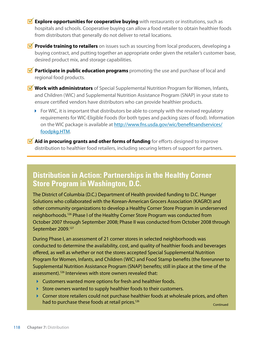- **M** Explore opportunities for cooperative buying with restaurants or institutions, such as hospitals and schools. Cooperative buying can allow a food retailer to obtain healthier foods from distributors that generally do not deliver to retail locations.
- **Provide training to retailers** on issues such as sourcing from local producers, developing a buying contract, and putting together an appropriate order given the retailer's customer base, desired product mix, and storage capabilities.
- **Participate in public education programs** promoting the use and purchase of local and regional food products.
- **Work with administrators** of Special Supplemental Nutrition Program for Women, Infants, and Children (WIC) and Supplemental Nutrition Assistance Program (SNAP) in your state to ensure certified vendors have distributors who can provide healthier products.
	- $\triangleright$  For WIC, it is important that distributors be able to comply with the revised regulatory requirements for WIC-Eligible Foods (for both types and packing sizes of food). Information on the WIC package is available at [http://www.fns.usda.gov/wic/benefitsandservices/](http://www.fns.usda.gov/wic/benefitsandservices/foodpkg.HTM) [foodpkg.HTM.](http://www.fns.usda.gov/wic/benefitsandservices/foodpkg.HTM)
- **M** Aid in procuring grants and other forms of funding for efforts designed to improve distribution to healthier food retailers, including securing letters of support for partners.

### **Distribution in Action: Partnerships in the Healthy Corner Store Program in Washington, D.C.**

The District of Columbia (D.C.) Department of Health provided funding to D.C. Hunger Solutions who collaborated with the Korean-American Grocers Association (KAGRO) and other community organizations to develop a Healthy Corner Store Program in underserved neighborhoods.126 Phase I of the Healthy Corner Store Program was conducted from October 2007 through September 2008; Phase II was conducted from October 2008 through September 2009.<sup>127</sup>

During Phase I, an assessment of 21 corner stores in selected neighborhoods was conducted to determine the availability, cost, and quality of healthier foods and beverages offered, as well as whether or not the stores accepted Special Supplemental Nutrition Program for Women, Infants, and Children (WIC) and Food Stamp benefits (the forerunner to Supplemental Nutrition Assistance Program (SNAP) benefits; still in place at the time of the assessment).<sup>126</sup> Interviews with store owners revealed that:

- Customers wanted more options for fresh and healthier foods.
- Store owners wanted to supply healthier foods to their customers.
- Corner store retailers could not purchase healthier foods at wholesale prices, and often had to purchase these foods at retail prices.<sup>126</sup> Continued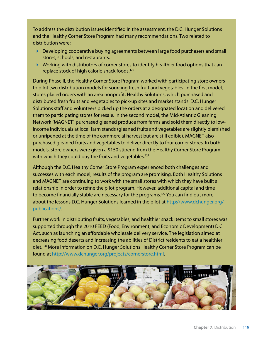To address the distribution issues identified in the assessment, the D.C. Hunger Solutions and the Healthy Corner Store Program had many recommendations. Two related to distribution were:

- Developing cooperative buying agreements between large food purchasers and small stores, schools, and restaurants.
- Working with distributors of corner stores to identify healthier food options that can replace stock of high calorie snack foods.126

During Phase II, the Healthy Corner Store Program worked with participating store owners to pilot two distribution models for sourcing fresh fruit and vegetables. In the first model, stores placed orders with an area nonprofit, Healthy Solutions, which purchased and distributed fresh fruits and vegetables to pick-up sites and market stands. D.C. Hunger Solutions staff and volunteers picked up the orders at a designated location and delivered them to participating stores for resale. In the second model, the Mid-Atlantic Gleaning Network (MAGNET) purchased gleaned produce from farms and sold them directly to lowincome individuals at local farm stands (gleaned fruits and vegetables are slightly blemished or unripened at the time of the commercial harvest but are still edible). MAGNET also purchased gleaned fruits and vegetables to deliver directly to four corner stores. In both models, store owners were given a \$150 stipend from the Healthy Corner Store Program with which they could buy the fruits and vegetables.<sup>127</sup>

Although the D.C. Healthy Corner Store Program experienced both challenges and successes with each model, results of the program are promising. Both Healthy Solutions and MAGNET are continuing to work with the small stores with which they have built a relationship in order to refine the pilot program. However, additional capital and time to become financially stable are necessary for the programs.<sup>127</sup> You can find out more about the lessons D.C. Hunger Solutions learned in the pilot at [http://www.dchunger.org/](http://www.dchunger.org/publications) [publications](http://www.dchunger.org/publications)/.

Further work in distributing fruits, vegetables, and healthier snack items to small stores was supported through the 2010 FEED (Food, Environment, and Economic Development) D.C. Act, such as launching an affordable wholesale delivery service. The legislation aimed at decreasing food deserts and increasing the abilities of District residents to eat a healthier diet.128 More information on D.C. Hunger Solutions Healthy Corner Store Program can be found at [http://www.dchunger.org/projects/cornerstore.html.](http://www.dchunger.org/projects/cornerstore.html)

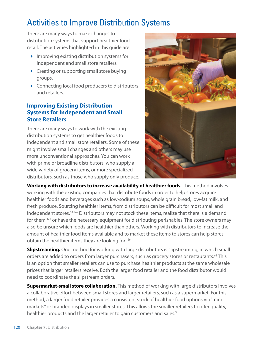## Activities to Improve Distribution Systems

There are many ways to make changes to distribution systems that support healthier food retail. The activities highlighted in this guide are:

- $\blacktriangleright$  Improving existing distribution systems for independent and small store retailers.
- ▶ Creating or supporting small store buying groups.
- ▶ Connecting local food producers to distributors and retailers.

#### **Improving Existing Distribution Systems for Independent and Small Store Retailers**

There are many ways to work with the existing distribution systems to get healthier foods to independent and small store retailers. Some of these might involve small changes and others may use more unconventional approaches. You can work with prime or broadline distributors, who supply a wide variety of grocery items, or more specialized distributors, such as those who supply only produce.



**Working with distributors to increase availability of healthier foods.** This method involves working with the existing companies that distribute foods in order to help stores acquire healthier foods and beverages such as low-sodium soups, whole grain bread, low-fat milk, and fresh produce. Sourcing healthier items, from distributors can be difficult for most small and independent stores.<sup>63,126</sup> Distributors may not stock these items, realize that there is a demand for them,<sup>126</sup> or have the necessary equipment for distributing perishables. The store owners may also be unsure which foods are healthier than others. Working with distributors to increase the amount of healthier food items available and to market these items to stores can help stores obtain the healthier items they are looking for.<sup>126</sup>

**Slipstreaming.** One method for working with large distributors is slipstreaming, in which small orders are added to orders from larger purchasers, such as grocery stores or restaurants.<sup>63</sup> This is an option that smaller retailers can use to purchase healthier products at the same wholesale prices that larger retailers receive. Both the larger food retailer and the food distributor would need to coordinate the slipstream orders.

**Supermarket-small store collaboration.** This method of working with large distributors involves a collaborative effort between small stores and larger retailers, such as a supermarket. For this method, a larger food retailer provides a consistent stock of healthier food options via "minimarkets" or branded displays in smaller stores. This allows the smaller retailers to offer quality, healthier products and the larger retailer to gain customers and sales.<sup>5</sup>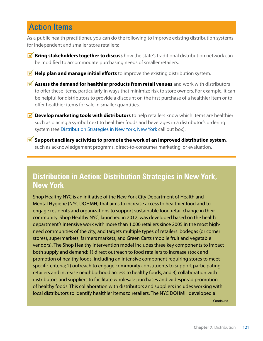## Action Items

As a public health practitioner, you can do the following to improve existing distribution systems for independent and smaller store retailers:

- **M** Bring stakeholders together to discuss how the state's traditional distribution network can be modified to accommodate purchasing needs of smaller retailers.
- **M** Help plan and manage initial efforts to improve the existing distribution system.
- **M** Assess the demand for healthier products from retail venues and work with distributors to offer these items, particularly in ways that minimize risk to store owners. For example, it can be helpful for distributors to provide a discount on the first purchase of a healthier item or to offer healthier items for sale in smaller quantities.
- *M* Develop marketing tools with distributors to help retailers know which items are healthier such as placing a symbol next to healthier foods and beverages in a distributor's ordering system (see Distribution Strategies in New York, New York call out box).
- **Support ancillary activities to promote the work of an improved distribution system**, such as acknowledgement programs, direct-to-consumer marketing, or evaluation.

### **Distribution in Action: Distribution Strategies in New York, New York**

Shop Healthy NYC is an initiative of the New York City Department of Health and Mental Hygiene (NYC DOHMH) that aims to increase access to healthier food and to engage residents and organizations to support sustainable food retail change in their community. Shop Healthy NYC, launched in 2012, was developed based on the health department's intensive work with more than 1,000 retailers since 2005 in the most highneed communities of the city, and targets multiple types of retailers: bodegas (or corner stores), supermarkets, farmers markets, and Green Carts (mobile fruit and vegetable vendors). The Shop Healthy intervention model includes three key components to impact both supply and demand: 1) direct outreach to food retailers to increase stock and promotion of healthy foods, including an intensive component requiring stores to meet specific criteria; 2) outreach to engage community constituents to support participating retailers and increase neighborhood access to healthy foods; and 3) collaboration with distributors and suppliers to facilitate wholesale purchases and widespread promotion of healthy foods. This collaboration with distributors and suppliers includes working with local distributors to identify healthier items to retailers. The NYC DOHMH developed a

Continued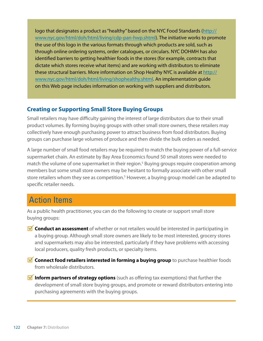logo that designates a product as "healthy" based on the NYC Food Standards [\(http://](http://www.nyc.gov/html/doh/html/living/cdp-pan-hwp.shtml) [www.nyc.gov/html/doh/html/living/cdp-pan-hwp.shtml\)](http://www.nyc.gov/html/doh/html/living/cdp-pan-hwp.shtml). The initiative works to promote the use of this logo in the various formats through which products are sold, such as through online ordering systems, order catalogues, or circulars. NYC DOHMH has also identified barriers to getting healthier foods in the stores (for example, contracts that dictate which stores receive what items) and are working with distributors to eliminate these structural barriers. More information on Shop Healthy NYC is available at [http://](http://www.nyc.gov/html/doh/html/living/shophealthy.shtml) [www.nyc.gov/html/doh/html/living/shophealthy.shtml.](http://www.nyc.gov/html/doh/html/living/shophealthy.shtml) An implementation guide on this Web page includes information on working with suppliers and distributors.

#### **Creating or Supporting Small Store Buying Groups**

Small retailers may have difficulty gaining the interest of large distributors due to their small product volumes. By forming buying groups with other small store owners, these retailers may collectively have enough purchasing power to attract business from food distributors. Buying groups can purchase large volumes of produce and then divide the bulk orders as needed.

A large number of small food retailers may be required to match the buying power of a full-service supermarket chain. An estimate by Bay Area Economics found 50 small stores were needed to match the volume of one supermarket in their region.<sup>5</sup> Buying groups require cooperation among members but some small store owners may be hesitant to formally associate with other small store retailers whom they see as competition.<sup>5</sup> However, a buying group model can be adapted to specific retailer needs.

## Action Items

As a public health practitioner, you can do the following to create or support small store buying groups:

- **Conduct an assessment** of whether or not retailers would be interested in participating in a buying group. Although small store owners are likely to be most interested, grocery stores and supermarkets may also be interested, particularly if they have problems with accessing local producers, quality fresh products, or specialty items.
- **M** Connect food retailers interested in forming a buying group to purchase healthier foods from wholesale distributors.
- **Inform partners of strategy options** (such as offering tax exemptions) that further the development of small store buying groups, and promote or reward distributors entering into purchasing agreements with the buying groups.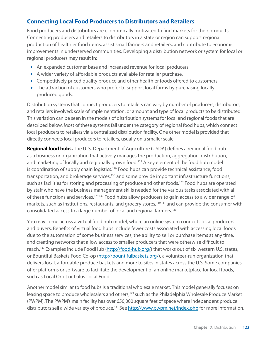#### **Connecting Local Food Producers to Distributors and Retailers**

Food producers and distributors are economically motivated to find markets for their products. Connecting producers and retailers to distributors in a state or region can support regional production of healthier food items, assist small farmers and retailers, and contribute to economic improvements in underserved communities. Developing a distribution network or system for local or regional producers may result in:

- An expanded customer base and increased revenue for local producers.
- A wider variety of affordable products available for retailer purchase.
- ▶ Competitively priced quality produce and other healthier foods offered to customers.
- ▶ The attraction of customers who prefer to support local farms by purchasing locally produced goods.

Distribution systems that connect producers to retailers can vary by number of producers, distributors, and retailers involved; scale of implementation; or amount and type of local products to be distributed. This variation can be seen in the models of distribution systems for local and regional foods that are described below. Most of these systems fall under the category of regional food hubs, which connect local producers to retailers via a centralized distribution facility. One other model is provided that directly connects local producers to retailers, usually on a smaller scale.

**Regional food hubs.** The U.S. Department of Agriculture (USDA) defines a regional food hub as a business or organization that actively manages the production, aggregation, distribution, and marketing of locally and regionally grown food.<sup>129</sup> A key element of the food hub model is coordination of supply chain logistics.<sup>129</sup> Food hubs can provide technical assistance, food transportation, and brokerage services,<sup>130</sup> and some provide important infrastructure functions, such as facilities for storing and processing of produce and other foods.<sup>129</sup> Food hubs are operated by staff who have the business management skills needed for the various tasks associated with all of these functions and services.<sup>129,130</sup> Food hubs allow producers to gain access to a wider range of markets, such as institutions, restaurants, and grocery stores,<sup>130,131</sup> and can provide the consumer with consolidated access to a large number of local and regional farmers.130

You may come across a virtual food hub model, where an online system connects local producers and buyers. Benefits of virtual food hubs include fewer costs associated with accessing local foods due to the automation of some business services, the ability to sell or purchase items at any time, and creating networks that allow access to smaller producers that were otherwise difficult to reach.<sup>132</sup> Examples include FoodHub [\(http://food-hub.org/](http://food-hub.org)) that works out of six western U.S. states, or Bountiful Baskets Food Co-op [\(http://bountifulbaskets.org](http://bountifulbaskets.org)/), a volunteer-run organization that delivers local, affordable produce baskets and more to sites in states across the U.S. Some companies offer platforms or software to facilitate the development of an online marketplace for local foods, such as Local Orbit or Lulus Local Food.

Another model similar to food hubs is a traditional wholesale market. This model generally focuses on leasing space to produce wholesalers and others,<sup>129</sup> such as the Philadelphia Wholesale Produce Market (PWPM). The PWPM's main facility has over 650,000 square feet of space where independent produce distributors sell a wide variety of produce.<sup>133</sup> See<http://www.pwpm.net/index.php>for more information.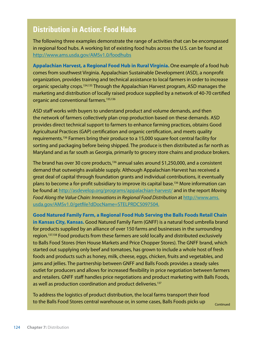### **Distribution in Action: Food Hubs**

The following three examples demonstrate the range of activities that can be encompassed in regional food hubs. A working list of existing food hubs across the U.S. can be found at <http://www.ams.usda.gov/AMSv1.0/foodhubs>

**Appalachian Harvest, a Regional Food Hub in Rural Virginia.** One example of a food hub comes from southwest Virginia. Appalachian Sustainable Development (ASD), a nonprofit organization, provides training and technical assistance to local farmers in order to increase organic specialty crops.134,135 Through the Appalachian Harvest program, ASD manages the marketing and distribution of locally raised produce supplied by a network of 40-70 certified organic and conventional farmers.<sup>135,136</sup>

ASD staff works with buyers to understand product and volume demands, and then the network of farmers collectively plan crop production based on these demands. ASD provides direct technical support to farmers to enhance farming practices, obtains Good Agricultural Practices (GAP) certification and organic certification, and meets quality requirements.136 Farmers bring their produce to a 15,000 square foot central facility for sorting and packaging before being shipped. The produce is then distributed as far north as Maryland and as far south as Georgia, primarily to grocery store chains and produce brokers.

The brand has over 30 core products,<sup>136</sup> annual sales around \$1,250,000, and a consistent demand that outweighs available supply. Although Appalachian Harvest has received a great deal of capital through foundation grants and individual contributions, it eventually plans to become a for-profit subsidiary to improve its capital base.<sup>136</sup> More information can be found at <http://asdevelop.org/programs/appalachian>-harvest/ and in the report *Moving Food Along the Value Chain: Innovations in Regional Food Distribution* at [http://www.ams.](http://www.ams.usda.gov/AMSv1.0/getfile?dDocName=STELPRDC5097504.) [usda.gov/AMSv1.0/getfile?dDocName=STELPRDC5097504.](http://www.ams.usda.gov/AMSv1.0/getfile?dDocName=STELPRDC5097504.)

**Good Natured Family Farm, a Regional Food Hub Serving the Balls Foods Retail Chain in Kansas City, Kansas.** Good Natured Family Farm (GNFF) is a natural food umbrella brand for products supplied by an alliance of over 150 farms and businesses in the surrounding region.137,138 Food products from these farmers are sold locally and distributed exclusively to Balls Food Stores (Hen House Markets and Price Chopper Stores). The GNFF brand, which started out supplying only beef and tomatoes, has grown to include a whole host of fresh foods and products such as honey, milk, cheese, eggs, chicken, fruits and vegetables, and jams and jellies. The partnership between GNFF and Balls Foods provides a steady sales outlet for producers and allows for increased flexibility in price negotiation between farmers and retailers. GNFF staff handles price negotiations and product marketing with Balls Foods, as well as production coordination and product deliveries.<sup>137</sup>

To address the logistics of product distribution, the local farms transport their food to the Balls Food Stores central warehouse or, in some cases, Balls Foods picks up Continued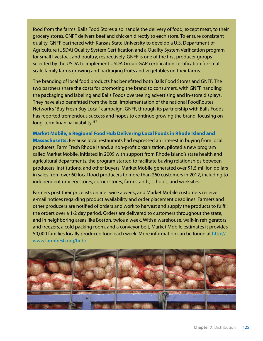food from the farms. Balls Food Stores also handle the delivery of food, except meat, to their grocery stores. GNFF delivers beef and chicken directly to each store. To ensure consistent quality, GNFF partnered with Kansas State University to develop a U.S. Department of Agriculture (USDA) Quality System Certification and a Quality System Verification program for small livestock and poultry, respectively. GNFF is one of the first producer groups selected by the USDA to implement USDA Group GAP certification certification for smallscale family farms growing and packaging fruits and vegetables on their farms.

The branding of local food products has benefitted both Balls Food Stores and GNFF. The two partners share the costs for promoting the brand to consumers, with GNFF handling the packaging and labeling and Balls Foods overseeing advertising and in-store displays. They have also benefitted from the local implementation of the national FoodRoutes Network's "Buy Fresh Buy Local" campaign. GNFF, through its partnership with Balls Foods, has reported tremendous success and hopes to continue growing the brand, focusing on long-term financial viability.<sup>137</sup>

**Market Mobile, a Regional Food Hub Delivering Local Foods in Rhode Island and Massachusetts.** Because local restaurants had expressed an interest in buying from local producers, Farm Fresh Rhode Island, a non-profit organization, piloted a new program called Market Mobile. Initiated in 2009 with support from Rhode Island's state health and agricultural departments, the program started to facilitate buying relationships between producers, institutions, and other buyers. Market Mobile generated over \$1.5 million dollars in sales from over 60 local food producers to more than 260 customers in 2012, including to independent grocery stores, corner stores, farm stands, schools, and worksites.

Farmers post their pricelists online twice a week, and Market Mobile customers receive e-mail notices regarding product availability and order placement deadlines. Farmers and other producers are notified of orders and work to harvest and supply the products to fulfill the orders over a 1-2 day period. Orders are delivered to customers throughout the state, and in neighboring areas like Boston, twice a week. With a warehouse, walk-in refrigerators and freezers, a cold packing room, and a conveyor belt, Market Mobile estimates it provides 50,000 families locally produced food each week. More information can be found at [http://](http://www.farmfresh.org/hub) [www.farmfresh.org/hub](http://www.farmfresh.org/hub)/.

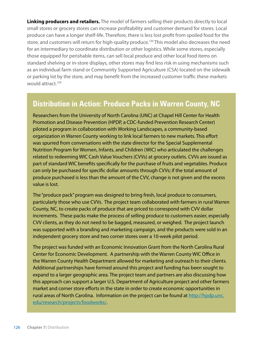**Linking producers and retailers.** The model of farmers selling their products directly to local small stores or grocery stores can increase profitability and customer demand for stores. Local produce can have a longer shelf-life. Therefore, there is less lost profit from spoiled food for the store, and customers will return for high-quality produce.<sup>139</sup> This model also decreases the need for an intermediary to coordinate distribution or other logistics. While some stores, especially those equipped for perishable items, can sell local produce and other local food items on standard shelving or in-store displays, other stores may find less risk in using mechanisms such as an individual farm stand or Community Supported Agriculture (CSA) located on the sidewalk or parking lot by the store, and may benefit from the increased customer traffic these markets would attract.<sup>139</sup>

### **Distribution in Action: Produce Packs in Warren County, NC**

Researchers from the University of North Carolina (UNC) at Chapel Hill Center for Health Promotion and Disease Prevention (HPDP, a CDC-funded Prevention Research Center) piloted a program in collaboration with Working Landscapes, a community-based organization in Warren County working to link local farmers to new markets. This effort was spurred from conversations with the state director for the Special Supplemental Nutrition Program for Women, Infants, and Children (WIC) who articulated the challenges related to redeeming WIC Cash Value Vouchers (CVVs) at grocery outlets. CVVs are issued as part of standard WIC benefits specifically for the purchase of fruits and vegetables. Produce can only be purchased for specific dollar amounts through CVVs; if the total amount of produce purchased is less than the amount of the CVV, change is not given and the excess value is lost.

The "produce pack" program was designed to bring fresh, local produce to consumers, particularly those who use CVVs. The project team collaborated with farmers in rural Warren County, NC, to create packs of produce that are priced to correspond with CVV dollar increments. These packs make the process of selling produce to customers easier, especially CVV clients, as they do not need to be bagged, measured, or weighed. The project launch was supported with a branding and marketing campaign, and the products were sold in an independent grocery store and two corner stores over a 10-week pilot period.

The project was funded with an Economic Innovation Grant from the North Carolina Rural Center for Economic Development. A partnership with the Warren County WIC Office in the Warren County Health Department allowed for marketing and outreach to their clients. Additional partnerships have formed around this project and funding has been sought to expand to a larger geographic area. The project team and partners are also discussing how this approach can support a larger U.S. Department of Agriculture project and other farmers market and corner store efforts in the state in order to create economic opportunities in rural areas of North Carolina. Information on the project can be found at [http://hpdp.unc.](http://hpdp.unc.edu/research/projects/foodworks) [edu/research/projects/foodworks/](http://hpdp.unc.edu/research/projects/foodworks).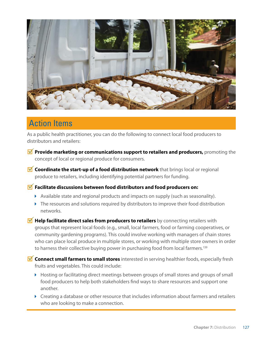

### Action Items

As a public health practitioner, you can do the following to connect local food producers to distributors and retailers:

- **Provide marketing or communications support to retailers and producers,** promoting the concept of local or regional produce for consumers.
- **M** Coordinate the start-up of a food distribution network that brings local or regional produce to retailers, including identifying potential partners for funding.

#### **Facilitate discussions between food distributors and food producers on:**

- Available state and regional products and impacts on supply (such as seasonality).
- ▶ The resources and solutions required by distributors to improve their food distribution networks.
- **M** Help facilitate direct sales from producers to retailers by connecting retailers with groups that represent local foods (e.g., small, local farmers, food or farming cooperatives, or community gardening programs). This could involve working with managers of chain stores who can place local produce in multiple stores, or working with multiple store owners in order to harness their collective buying power in purchasing food from local farmers.<sup>139</sup>
- *M* Connect small farmers to small stores interested in serving healthier foods, especially fresh fruits and vegetables. This could include:
	- Hosting or facilitating direct meetings between groups of small stores and groups of small food producers to help both stakeholders find ways to share resources and support one another.
	- Creating a database or other resource that includes information about farmers and retailers who are looking to make a connection.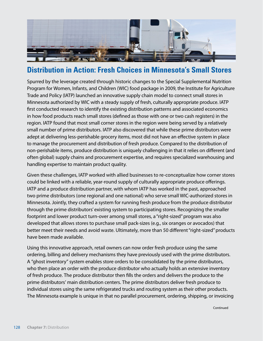

### **Distribution in Action: Fresh Choices in Minnesota's Small Stores**

Spurred by the leverage created through historic changes to the Special Supplemental Nutrition Program for Women, Infants, and Children (WIC) food package in 2009, the Institute for Agriculture Trade and Policy (IATP) launched an innovative supply chain model to connect small stores in Minnesota authorized by WIC with a steady supply of fresh, culturally appropriate produce. IATP first conducted research to identify the existing distribution patterns and associated economics in how food products reach small stores (defined as those with one or two cash registers) in the region. IATP found that most small corner stores in the region were being served by a relatively small number of prime distributors. IATP also discovered that while these prime distributors were adept at delivering less-perishable grocery items, most did not have an effective system in place to manage the procurement and distribution of fresh produce. Compared to the distribution of non-perishable items, produce distribution is uniquely challenging in that it relies on different (and often global) supply chains and procurement expertise, and requires specialized warehousing and handling expertise to maintain product quality.

Given these challenges, IATP worked with allied businesses to re-conceptualize how corner stores could be linked with a reliable, year-round supply of culturally appropriate produce offerings. IATP and a produce distribution partner, with whom IATP has worked in the past, approached two prime distributors (one regional and one national) who serve small WIC-authorized stores in Minnesota. Jointly, they crafted a system for running fresh produce from the produce distributor through the prime distributors' existing system to participating stores. Recognizing the smaller footprint and lower product turn-over among small stores, a "right-sized" program was also developed that allows stores to purchase small pack-sizes (e.g., six oranges or avocados) that better meet their needs and avoid waste. Ultimately, more than 50 different "right-sized" products have been made available.

Using this innovative approach, retail owners can now order fresh produce using the same ordering, billing and delivery mechanisms they have previously used with the prime distributors. A "ghost inventory" system enables store orders to be consolidated by the prime distributors, who then place an order with the produce distributor who actually holds an extensive inventory of fresh produce. The produce distributor then fills the orders and delivers the produce to the prime distributors' main distribution centers. The prime distributors deliver fresh produce to individual stores using the same refrigerated trucks and routing system as their other products. The Minnesota example is unique in that no parallel procurement, ordering, shipping, or invoicing

**Continued**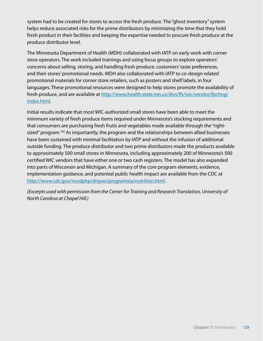system had to be created for stores to access the fresh produce. The "ghost inventory" system helps reduce associated risks for the prime distributors by minimizing the time that they hold fresh product in their facilities and keeping the expertise needed to procure fresh produce at the produce distributor level.

The Minnesota Department of Health (MDH) collaborated with IATP on early work with corner store operators. The work included trainings and using focus groups to explore operators' concerns about selling, storing, and handling fresh produce, customers' taste preferences, and their stores' promotional needs. MDH also collaborated with IATP to co-design related promotional materials for corner store retailers, such as posters and shelf labels, in four languages. These promotional resources were designed to help stores promote the availability of fresh produce, and are available at http://www.health.state.mn.us/divs/fh/wic/vendor/fpchnq/ [index.html.](http://www.health.state.mn.us/divs/fh/wic/vendor/fpchng/index.html)

Initial results indicate that most WIC-authorized small stores have been able to meet the minimum variety of fresh produce items required under Minnesota's stocking requirements and that consumers are purchasing fresh fruits and vegetables made available through the "rightsized" program.<sup>140</sup> As importantly, the program and the relationships between allied businesses have been sustained with minimal facilitation by IATP and without the infusion of additional outside funding. The produce distributor and two prime distributors made the products available to approximately 500 small stores in Minnesota, including approximately 200 of Minnesota's 500 certified WIC vendors that have either one or two cash registers. The model has also expanded into parts of Wisconsin and Michigan. A summary of the core program elements, evidence, implementation guidance, and potential public health impact are available from the CDC at [http://www.cdc.gov/nccdphp/dnpao/programsta/nutrition.html.](http://www.cdc.gov/nccdphp/dnpao/programsta/nutrition.html)

*(Excerpts used with permission from the Center for Training and Research Translation, University of North Carolina at Chapel Hill.)*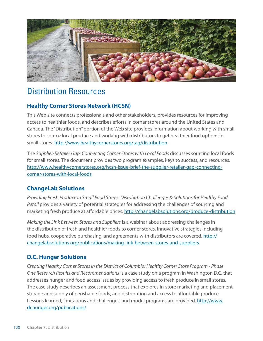

## Distribution Resources

#### **Healthy Corner Stores Network (HCSN)**

This Web site connects professionals and other stakeholders, provides resources for improving access to healthier foods, and describes efforts in corner stores around the United States and Canada. The "Distribution" portion of the Web site provides information about working with small stores to source local produce and working with distributors to get healthier food options in small stores.<http://www.healthycornerstores.org/tag/distribution>

The *Supplier-Retailer Gap: Connecting Corner Stores with Local Foods* discusses sourcing local foods for small stores. The document provides two program examples, keys to success, and resources. [http://www.healthycornerstores.org/hcsn-](http://www.healthycornerstores.org/hcsn)issue-brief-the-supplier-retailer-gap-connectingcorner-stores-with-local-foods

#### **ChangeLab Solutions**

*Providing Fresh Produce in Small Food Stores: Distribution Challenges & Solutions for Healthy Food Retail* provides a variety of potential strategies for addressing the challenges of sourcing and marketing fresh produce at affordable prices. [http://changelabsolutions.org/produce-](http://changelabsolutions.org/produce)distribution

*Making the Link Between Stores and Suppliers* is a webinar about addressing challenges in the distribution of fresh and healthier foods to corner stores. Innovative strategies including food hubs, cooperative purchasing, and agreements with distributors are covered. [http://](http://changelabsolutions.org/publications/making) [changelabsolutions.org/publications/making-](http://changelabsolutions.org/publications/making)link-between-stores-and-suppliers

#### **D.C. Hunger Solutions**

*Creating Healthy Corner Stores in the District of Columbia: Healthy Corner Store Program - Phase One Research Results and Recommendations* is a case study on a program in Washington D.C. that addresses hunger and food access issues by providing access to fresh produce in small stores. The case study describes an assessment process that explores in-store marketing and placement, storage and supply of perishable foods, and distribution and access to affordable produce. Lessons learned, limitations and challenges, and model programs are provided. [http://www.](http://www.dchunger.org/publications) [dchunger.org/publications/](http://www.dchunger.org/publications)